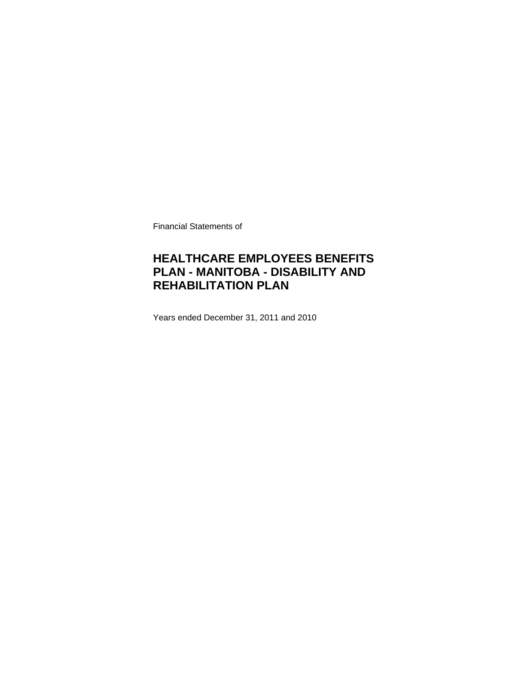Financial Statements of

### **HEALTHCARE EMPLOYEES BENEFITS PLAN - MANITOBA - DISABILITY AND REHABILITATION PLAN**

Years ended December 31, 2011 and 2010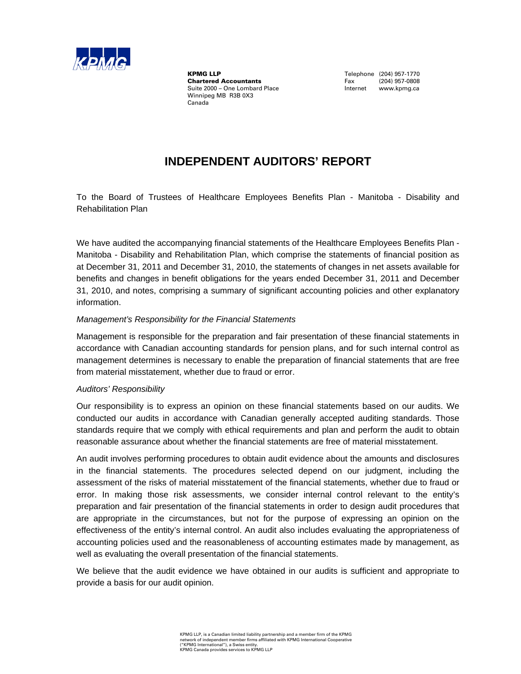

**KPMG LLP**<br>
Chartered Accountants<br>
Chartered Accountants<br>
Tax (204) 957-0808 **Chartered Accountants** Fax Fax<br>
Suite 2000 – One Lombard Place Fax Fax Face Winnipeg MB R3B 0X3 Canada

Internet www.kpmg.ca

### **INDEPENDENT AUDITORS' REPORT**

To the Board of Trustees of Healthcare Employees Benefits Plan - Manitoba - Disability and Rehabilitation Plan

We have audited the accompanying financial statements of the Healthcare Employees Benefits Plan - Manitoba - Disability and Rehabilitation Plan, which comprise the statements of financial position as at December 31, 2011 and December 31, 2010, the statements of changes in net assets available for benefits and changes in benefit obligations for the years ended December 31, 2011 and December 31, 2010, and notes, comprising a summary of significant accounting policies and other explanatory information.

#### *Management's Responsibility for the Financial Statements*

Management is responsible for the preparation and fair presentation of these financial statements in accordance with Canadian accounting standards for pension plans, and for such internal control as management determines is necessary to enable the preparation of financial statements that are free from material misstatement, whether due to fraud or error.

#### *Auditors' Responsibility*

Our responsibility is to express an opinion on these financial statements based on our audits. We conducted our audits in accordance with Canadian generally accepted auditing standards. Those standards require that we comply with ethical requirements and plan and perform the audit to obtain reasonable assurance about whether the financial statements are free of material misstatement.

An audit involves performing procedures to obtain audit evidence about the amounts and disclosures in the financial statements. The procedures selected depend on our judgment, including the assessment of the risks of material misstatement of the financial statements, whether due to fraud or error. In making those risk assessments, we consider internal control relevant to the entity's preparation and fair presentation of the financial statements in order to design audit procedures that are appropriate in the circumstances, but not for the purpose of expressing an opinion on the effectiveness of the entity's internal control. An audit also includes evaluating the appropriateness of accounting policies used and the reasonableness of accounting estimates made by management, as well as evaluating the overall presentation of the financial statements.

We believe that the audit evidence we have obtained in our audits is sufficient and appropriate to provide a basis for our audit opinion.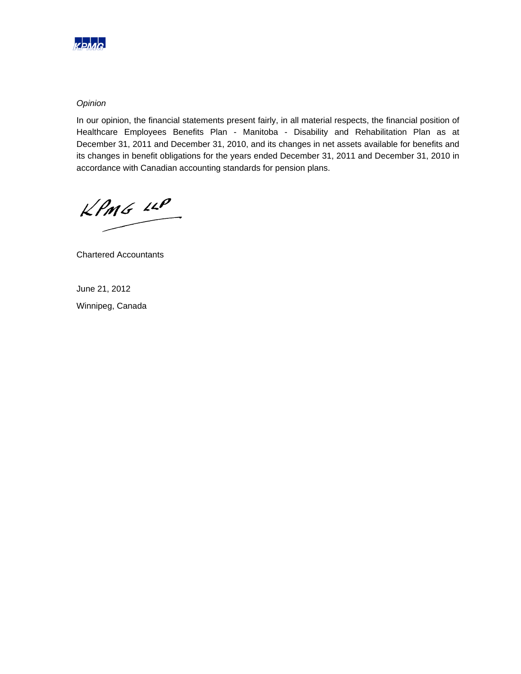

### *Opinion*

In our opinion, the financial statements present fairly, in all material respects, the financial position of Healthcare Employees Benefits Plan - Manitoba - Disability and Rehabilitation Plan as at December 31, 2011 and December 31, 2010, and its changes in net assets available for benefits and its changes in benefit obligations for the years ended December 31, 2011 and December 31, 2010 in accordance with Canadian accounting standards for pension plans.

 $KPMG$  14P

Chartered Accountants

June 21, 2012

Winnipeg, Canada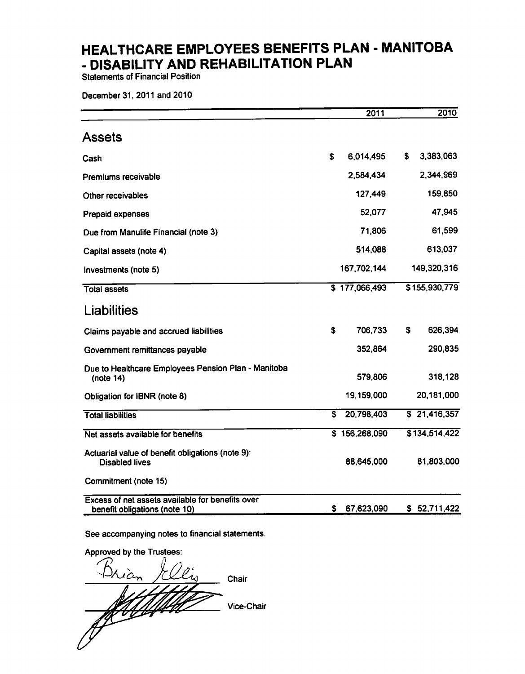**Statements of Financial Position** 

December 31, 2011 and 2010

|                                                                                   | 2011             | 2010                      |
|-----------------------------------------------------------------------------------|------------------|---------------------------|
| <b>Assets</b>                                                                     |                  |                           |
| Cash                                                                              | \$<br>6,014,495  | 3,383,063<br>\$           |
| Premiums receivable                                                               | 2,584,434        | 2,344,969                 |
| Other receivables                                                                 | 127,449          | 159,850                   |
| Prepaid expenses                                                                  | 52,077           | 47,945                    |
| Due from Manulife Financial (note 3)                                              | 71,806           | 61,599                    |
| Capital assets (note 4)                                                           | 514,088          | 613,037                   |
| Investments (note 5)                                                              | 167,702,144      | 149,320,316               |
| <b>Total assets</b>                                                               | \$177,066,493    | \$155,930,779             |
| <b>Liabilities</b>                                                                |                  |                           |
| Claims payable and accrued liabilities                                            | \$<br>706,733    | 626,394<br>s              |
| Government remittances payable                                                    | 352,864          | 290,835                   |
| Due to Healthcare Employees Pension Plan - Manitoba<br>(note 14)                  | 579,806          | 318,128                   |
| Obligation for IBNR (note 8)                                                      | 19,159,000       | 20,181,000                |
| <b>Total liabilities</b>                                                          | 20,798,403<br>S  | $\overline{8}$ 21,416,357 |
| Net assets available for benefits                                                 | \$156,268,090    | \$134,514,422             |
| Actuarial value of benefit obligations (note 9):<br><b>Disabled lives</b>         | 88,645,000       | 81,803,000                |
| Commitment (note 15)                                                              |                  |                           |
| Excess of net assets available for benefits over<br>benefit obligations (note 10) | \$<br>67,623,090 | \$52,711,422              |

See accompanying notes to financial statements.

**Approved by the Trustees:** Chair Vice-Chair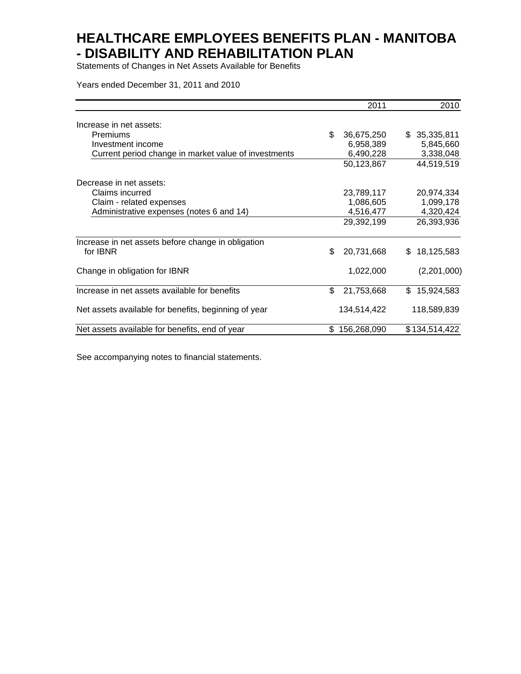Statements of Changes in Net Assets Available for Benefits

Years ended December 31, 2011 and 2010

|                                                      | 2011              | 2010             |
|------------------------------------------------------|-------------------|------------------|
| Increase in net assets:                              |                   |                  |
| Premiums                                             | \$<br>36,675,250  | 35,335,811<br>\$ |
| Investment income                                    | 6,958,389         | 5,845,660        |
| Current period change in market value of investments | 6,490,228         | 3,338,048        |
|                                                      | 50,123,867        | 44,519,519       |
| Decrease in net assets:                              |                   |                  |
| Claims incurred                                      | 23,789,117        | 20,974,334       |
| Claim - related expenses                             | 1,086,605         | 1,099,178        |
| Administrative expenses (notes 6 and 14)             | 4,516,477         | 4,320,424        |
|                                                      | 29,392,199        | 26,393,936       |
| Increase in net assets before change in obligation   |                   |                  |
| for IBNR                                             | \$<br>20,731,668  | \$18,125,583     |
| Change in obligation for IBNR                        | 1,022,000         | (2,201,000)      |
| Increase in net assets available for benefits        | \$<br>21,753,668  | 15,924,583<br>\$ |
| Net assets available for benefits, beginning of year | 134,514,422       | 118,589,839      |
| Net assets available for benefits, end of year       | \$<br>156,268,090 | \$134,514,422    |

See accompanying notes to financial statements.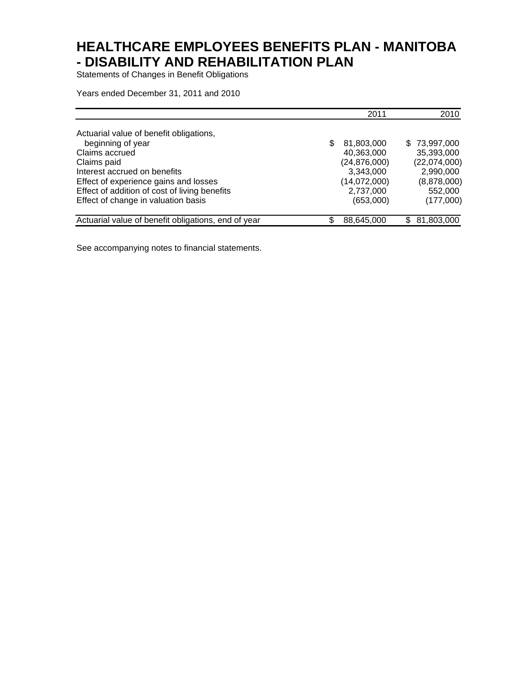Statements of Changes in Benefit Obligations

Years ended December 31, 2011 and 2010

|                                                     |   | 2011           | 2010              |
|-----------------------------------------------------|---|----------------|-------------------|
| Actuarial value of benefit obligations,             |   |                |                   |
| beginning of year                                   | S | 81,803,000     | \$73,997,000      |
| Claims accrued                                      |   | 40,363,000     | 35,393,000        |
| Claims paid                                         |   | (24, 876, 000) | (22,074,000)      |
| Interest accrued on benefits                        |   | 3,343,000      | 2,990,000         |
| Effect of experience gains and losses               |   | (14,072,000)   | (8,878,000)       |
| Effect of addition of cost of living benefits       |   | 2,737,000      | 552,000           |
| Effect of change in valuation basis                 |   | (653,000)      | (177,000)         |
| Actuarial value of benefit obligations, end of year |   | 88.645.000     | 81,803,000<br>SS. |

See accompanying notes to financial statements.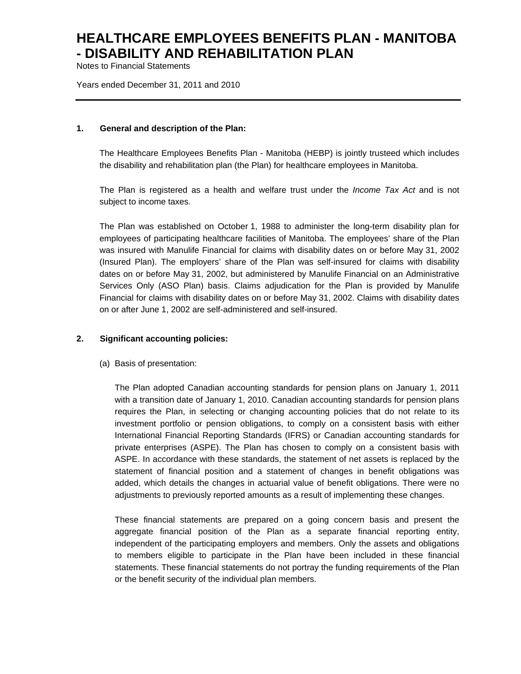Notes to Financial Statements

Years ended December 31, 2011 and 2010

#### **1. General and description of the Plan:**

The Healthcare Employees Benefits Plan - Manitoba (HEBP) is jointly trusteed which includes the disability and rehabilitation plan (the Plan) for healthcare employees in Manitoba.

The Plan is registered as a health and welfare trust under the *Income Tax Act* and is not subject to income taxes*.*

The Plan was established on October 1, 1988 to administer the long-term disability plan for employees of participating healthcare facilities of Manitoba. The employees' share of the Plan was insured with Manulife Financial for claims with disability dates on or before May 31, 2002 (Insured Plan). The employers' share of the Plan was self-insured for claims with disability dates on or before May 31, 2002, but administered by Manulife Financial on an Administrative Services Only (ASO Plan) basis. Claims adjudication for the Plan is provided by Manulife Financial for claims with disability dates on or before May 31, 2002. Claims with disability dates on or after June 1, 2002 are self-administered and self-insured.

### **2. Significant accounting policies:**

(a) Basis of presentation:

The Plan adopted Canadian accounting standards for pension plans on January 1, 2011 with a transition date of January 1, 2010. Canadian accounting standards for pension plans requires the Plan, in selecting or changing accounting policies that do not relate to its investment portfolio or pension obligations, to comply on a consistent basis with either International Financial Reporting Standards (IFRS) or Canadian accounting standards for private enterprises (ASPE). The Plan has chosen to comply on a consistent basis with ASPE. In accordance with these standards, the statement of net assets is replaced by the statement of financial position and a statement of changes in benefit obligations was added, which details the changes in actuarial value of benefit obligations. There were no adjustments to previously reported amounts as a result of implementing these changes.

These financial statements are prepared on a going concern basis and present the aggregate financial position of the Plan as a separate financial reporting entity, independent of the participating employers and members. Only the assets and obligations to members eligible to participate in the Plan have been included in these financial statements. These financial statements do not portray the funding requirements of the Plan or the benefit security of the individual plan members.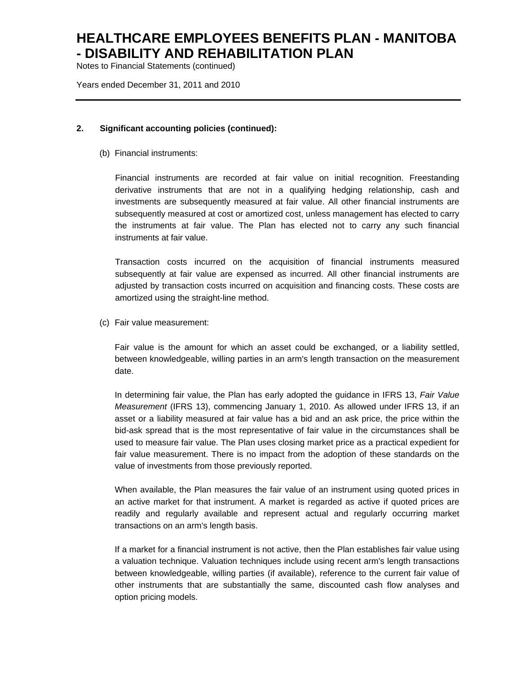Notes to Financial Statements (continued)

Years ended December 31, 2011 and 2010

#### **2. Significant accounting policies (continued):**

(b) Financial instruments:

Financial instruments are recorded at fair value on initial recognition. Freestanding derivative instruments that are not in a qualifying hedging relationship, cash and investments are subsequently measured at fair value. All other financial instruments are subsequently measured at cost or amortized cost, unless management has elected to carry the instruments at fair value. The Plan has elected not to carry any such financial instruments at fair value.

Transaction costs incurred on the acquisition of financial instruments measured subsequently at fair value are expensed as incurred. All other financial instruments are adjusted by transaction costs incurred on acquisition and financing costs. These costs are amortized using the straight-line method.

(c) Fair value measurement:

Fair value is the amount for which an asset could be exchanged, or a liability settled, between knowledgeable, willing parties in an arm's length transaction on the measurement date.

In determining fair value, the Plan has early adopted the guidance in IFRS 13, *Fair Value Measurement* (IFRS 13), commencing January 1, 2010. As allowed under IFRS 13, if an asset or a liability measured at fair value has a bid and an ask price, the price within the bid-ask spread that is the most representative of fair value in the circumstances shall be used to measure fair value. The Plan uses closing market price as a practical expedient for fair value measurement. There is no impact from the adoption of these standards on the value of investments from those previously reported.

When available, the Plan measures the fair value of an instrument using quoted prices in an active market for that instrument. A market is regarded as active if quoted prices are readily and regularly available and represent actual and regularly occurring market transactions on an arm's length basis.

If a market for a financial instrument is not active, then the Plan establishes fair value using a valuation technique. Valuation techniques include using recent arm's length transactions between knowledgeable, willing parties (if available), reference to the current fair value of other instruments that are substantially the same, discounted cash flow analyses and option pricing models.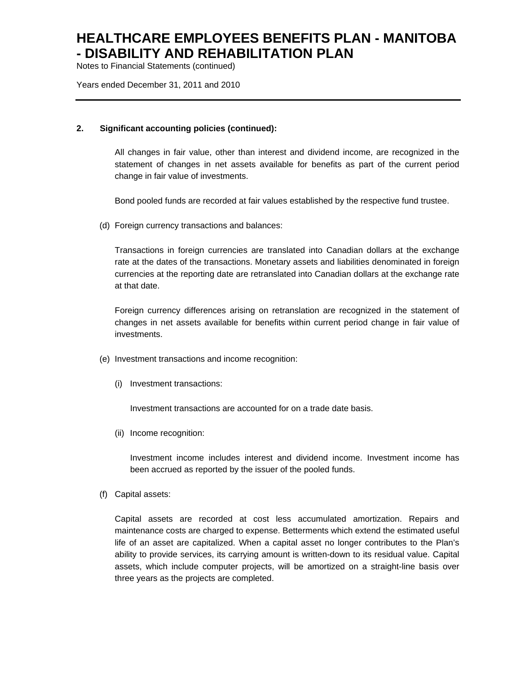Notes to Financial Statements (continued)

Years ended December 31, 2011 and 2010

### **2. Significant accounting policies (continued):**

All changes in fair value, other than interest and dividend income, are recognized in the statement of changes in net assets available for benefits as part of the current period change in fair value of investments.

Bond pooled funds are recorded at fair values established by the respective fund trustee.

(d) Foreign currency transactions and balances:

Transactions in foreign currencies are translated into Canadian dollars at the exchange rate at the dates of the transactions. Monetary assets and liabilities denominated in foreign currencies at the reporting date are retranslated into Canadian dollars at the exchange rate at that date.

Foreign currency differences arising on retranslation are recognized in the statement of changes in net assets available for benefits within current period change in fair value of investments.

- (e) Investment transactions and income recognition:
	- (i) Investment transactions:

Investment transactions are accounted for on a trade date basis.

(ii) Income recognition:

Investment income includes interest and dividend income. Investment income has been accrued as reported by the issuer of the pooled funds.

(f) Capital assets:

Capital assets are recorded at cost less accumulated amortization. Repairs and maintenance costs are charged to expense. Betterments which extend the estimated useful life of an asset are capitalized. When a capital asset no longer contributes to the Plan's ability to provide services, its carrying amount is written-down to its residual value. Capital assets, which include computer projects, will be amortized on a straight-line basis over three years as the projects are completed.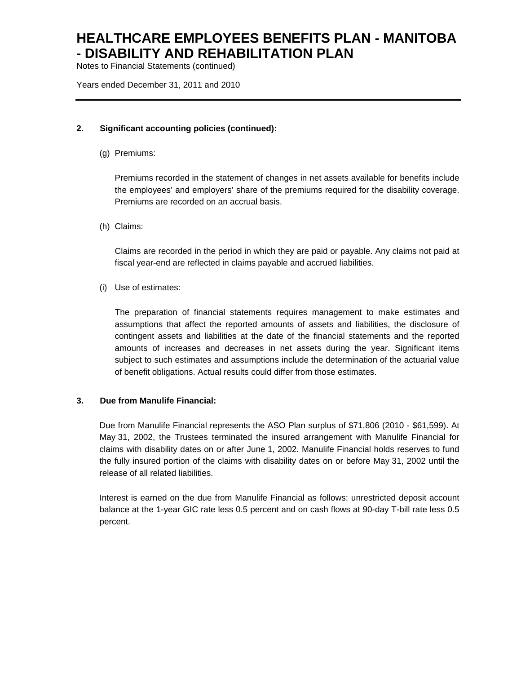Notes to Financial Statements (continued)

Years ended December 31, 2011 and 2010

### **2. Significant accounting policies (continued):**

(g) Premiums:

Premiums recorded in the statement of changes in net assets available for benefits include the employees' and employers' share of the premiums required for the disability coverage. Premiums are recorded on an accrual basis.

(h) Claims:

Claims are recorded in the period in which they are paid or payable. Any claims not paid at fiscal year-end are reflected in claims payable and accrued liabilities.

(i) Use of estimates:

The preparation of financial statements requires management to make estimates and assumptions that affect the reported amounts of assets and liabilities, the disclosure of contingent assets and liabilities at the date of the financial statements and the reported amounts of increases and decreases in net assets during the year. Significant items subject to such estimates and assumptions include the determination of the actuarial value of benefit obligations. Actual results could differ from those estimates.

### **3. Due from Manulife Financial:**

Due from Manulife Financial represents the ASO Plan surplus of \$71,806 (2010 - \$61,599). At May 31, 2002, the Trustees terminated the insured arrangement with Manulife Financial for claims with disability dates on or after June 1, 2002. Manulife Financial holds reserves to fund the fully insured portion of the claims with disability dates on or before May 31, 2002 until the release of all related liabilities.

Interest is earned on the due from Manulife Financial as follows: unrestricted deposit account balance at the 1-year GIC rate less 0.5 percent and on cash flows at 90-day T-bill rate less 0.5 percent.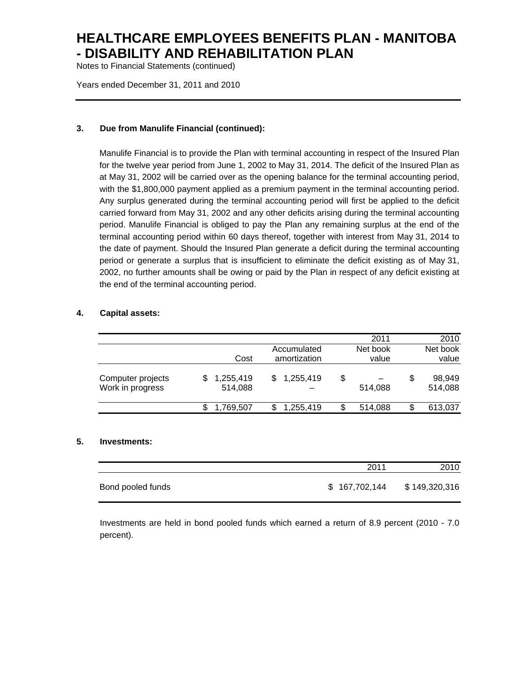Notes to Financial Statements (continued)

Years ended December 31, 2011 and 2010

### **3. Due from Manulife Financial (continued):**

Manulife Financial is to provide the Plan with terminal accounting in respect of the Insured Plan for the twelve year period from June 1, 2002 to May 31, 2014. The deficit of the Insured Plan as at May 31, 2002 will be carried over as the opening balance for the terminal accounting period, with the \$1,800,000 payment applied as a premium payment in the terminal accounting period. Any surplus generated during the terminal accounting period will first be applied to the deficit carried forward from May 31, 2002 and any other deficits arising during the terminal accounting period. Manulife Financial is obliged to pay the Plan any remaining surplus at the end of the terminal accounting period within 60 days thereof, together with interest from May 31, 2014 to the date of payment. Should the Insured Plan generate a deficit during the terminal accounting period or generate a surplus that is insufficient to eliminate the deficit existing as of May 31, 2002, no further amounts shall be owing or paid by the Plan in respect of any deficit existing at the end of the terminal accounting period.

#### **4. Capital assets:**

|                                       |                      |                             | 2011              |    | 2010              |
|---------------------------------------|----------------------|-----------------------------|-------------------|----|-------------------|
|                                       | Cost                 | Accumulated<br>amortization | Net book<br>value |    | Net book<br>value |
| Computer projects<br>Work in progress | 1,255,419<br>514,088 | 1,255,419                   | \$<br>514,088     | \$ | 98,949<br>514,088 |
|                                       | 1,769,507            | 1,255,419                   | \$<br>514,088     | S  | 613,037           |

#### **5. Investments:**

|                   | 2011          | 2010          |
|-------------------|---------------|---------------|
| Bond pooled funds | \$167,702,144 | \$149,320,316 |

Investments are held in bond pooled funds which earned a return of 8.9 percent (2010 - 7.0 percent).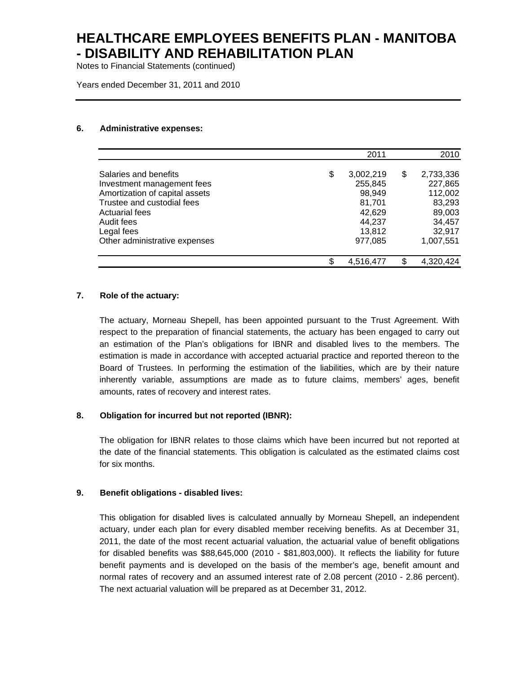Notes to Financial Statements (continued)

Years ended December 31, 2011 and 2010

#### **6. Administrative expenses:**

|                                | 2011            | 2010            |
|--------------------------------|-----------------|-----------------|
| Salaries and benefits          | \$<br>3,002,219 | \$<br>2,733,336 |
| Investment management fees     | 255,845         | 227,865         |
| Amortization of capital assets | 98,949          | 112,002         |
| Trustee and custodial fees     | 81,701          | 83,293          |
| <b>Actuarial fees</b>          | 42,629          | 89,003          |
| Audit fees                     | 44.237          | 34,457          |
| Legal fees                     | 13,812          | 32,917          |
| Other administrative expenses  | 977,085         | 1,007,551       |
|                                | \$<br>4,516,477 | 4,320,424       |

### **7. Role of the actuary:**

The actuary, Morneau Shepell, has been appointed pursuant to the Trust Agreement. With respect to the preparation of financial statements, the actuary has been engaged to carry out an estimation of the Plan's obligations for IBNR and disabled lives to the members. The estimation is made in accordance with accepted actuarial practice and reported thereon to the Board of Trustees. In performing the estimation of the liabilities, which are by their nature inherently variable, assumptions are made as to future claims, members' ages, benefit amounts, rates of recovery and interest rates.

### **8. Obligation for incurred but not reported (IBNR):**

The obligation for IBNR relates to those claims which have been incurred but not reported at the date of the financial statements. This obligation is calculated as the estimated claims cost for six months.

#### **9. Benefit obligations - disabled lives:**

This obligation for disabled lives is calculated annually by Morneau Shepell, an independent actuary, under each plan for every disabled member receiving benefits. As at December 31, 2011, the date of the most recent actuarial valuation, the actuarial value of benefit obligations for disabled benefits was \$88,645,000 (2010 - \$81,803,000). It reflects the liability for future benefit payments and is developed on the basis of the member's age, benefit amount and normal rates of recovery and an assumed interest rate of 2.08 percent (2010 - 2.86 percent). The next actuarial valuation will be prepared as at December 31, 2012.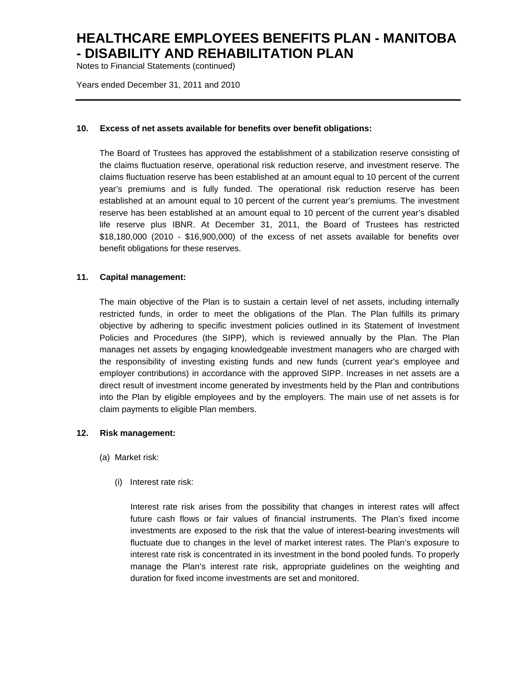Notes to Financial Statements (continued)

Years ended December 31, 2011 and 2010

#### **10. Excess of net assets available for benefits over benefit obligations:**

The Board of Trustees has approved the establishment of a stabilization reserve consisting of the claims fluctuation reserve, operational risk reduction reserve, and investment reserve. The claims fluctuation reserve has been established at an amount equal to 10 percent of the current year's premiums and is fully funded. The operational risk reduction reserve has been established at an amount equal to 10 percent of the current year's premiums. The investment reserve has been established at an amount equal to 10 percent of the current year's disabled life reserve plus IBNR. At December 31, 2011, the Board of Trustees has restricted \$18,180,000 (2010 - \$16,900,000) of the excess of net assets available for benefits over benefit obligations for these reserves.

#### **11. Capital management:**

The main objective of the Plan is to sustain a certain level of net assets, including internally restricted funds, in order to meet the obligations of the Plan. The Plan fulfills its primary objective by adhering to specific investment policies outlined in its Statement of Investment Policies and Procedures (the SIPP), which is reviewed annually by the Plan. The Plan manages net assets by engaging knowledgeable investment managers who are charged with the responsibility of investing existing funds and new funds (current year's employee and employer contributions) in accordance with the approved SIPP. Increases in net assets are a direct result of investment income generated by investments held by the Plan and contributions into the Plan by eligible employees and by the employers. The main use of net assets is for claim payments to eligible Plan members.

### **12. Risk management:**

- (a) Market risk:
	- (i) Interest rate risk:

Interest rate risk arises from the possibility that changes in interest rates will affect future cash flows or fair values of financial instruments. The Plan's fixed income investments are exposed to the risk that the value of interest-bearing investments will fluctuate due to changes in the level of market interest rates. The Plan's exposure to interest rate risk is concentrated in its investment in the bond pooled funds. To properly manage the Plan's interest rate risk, appropriate guidelines on the weighting and duration for fixed income investments are set and monitored.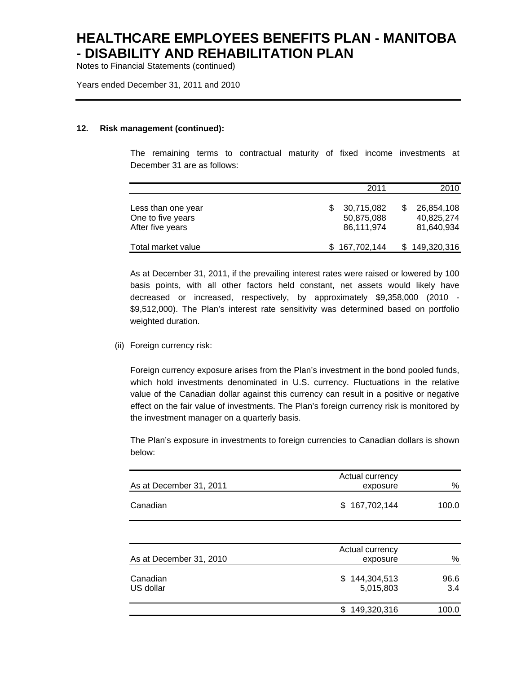Notes to Financial Statements (continued)

Years ended December 31, 2011 and 2010

#### **12. Risk management (continued):**

The remaining terms to contractual maturity of fixed income investments at December 31 are as follows:

|                                                             | 2011                                   | 2010                                   |
|-------------------------------------------------------------|----------------------------------------|----------------------------------------|
| Less than one year<br>One to five years<br>After five years | 30,715,082<br>50,875,088<br>86,111,974 | 26.854.108<br>40,825,274<br>81,640,934 |
| Total market value                                          | \$167,702,144                          | \$149,320,316                          |

As at December 31, 2011, if the prevailing interest rates were raised or lowered by 100 basis points, with all other factors held constant, net assets would likely have decreased or increased, respectively, by approximately \$9,358,000 (2010 - \$9,512,000). The Plan's interest rate sensitivity was determined based on portfolio weighted duration.

(ii) Foreign currency risk:

Foreign currency exposure arises from the Plan's investment in the bond pooled funds, which hold investments denominated in U.S. currency. Fluctuations in the relative value of the Canadian dollar against this currency can result in a positive or negative effect on the fair value of investments. The Plan's foreign currency risk is monitored by the investment manager on a quarterly basis.

The Plan's exposure in investments to foreign currencies to Canadian dollars is shown below:

| As at December 31, 2011 | Actual currency<br>exposure    | %           |  |
|-------------------------|--------------------------------|-------------|--|
| Canadian                | 167,702,144<br>\$              | 100.0       |  |
|                         |                                |             |  |
| As at December 31, 2010 | Actual currency<br>exposure    | %           |  |
| Canadian<br>US dollar   | \$<br>144,304,513<br>5,015,803 | 96.6<br>3.4 |  |
|                         | \$<br>149,320,316              | 100.0       |  |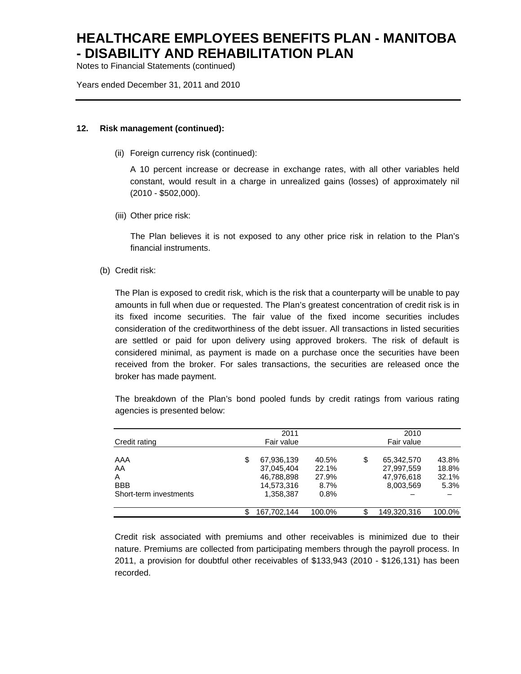Notes to Financial Statements (continued)

Years ended December 31, 2011 and 2010

#### **12. Risk management (continued):**

(ii) Foreign currency risk (continued):

A 10 percent increase or decrease in exchange rates, with all other variables held constant, would result in a charge in unrealized gains (losses) of approximately nil (2010 - \$502,000).

(iii) Other price risk:

The Plan believes it is not exposed to any other price risk in relation to the Plan's financial instruments.

(b) Credit risk:

The Plan is exposed to credit risk, which is the risk that a counterparty will be unable to pay amounts in full when due or requested. The Plan's greatest concentration of credit risk is in its fixed income securities. The fair value of the fixed income securities includes consideration of the creditworthiness of the debt issuer. All transactions in listed securities are settled or paid for upon delivery using approved brokers. The risk of default is considered minimal, as payment is made on a purchase once the securities have been received from the broker. For sales transactions, the securities are released once the broker has made payment.

The breakdown of the Plan's bond pooled funds by credit ratings from various rating agencies is presented below:

|                        |   | 2011        |        | 2010             |        |
|------------------------|---|-------------|--------|------------------|--------|
| Credit rating          |   | Fair value  |        | Fair value       |        |
| AAA                    | S | 67,936,139  | 40.5%  | \$<br>65,342,570 | 43.8%  |
| AA                     |   | 37,045,404  | 22.1%  | 27,997,559       | 18.8%  |
| A                      |   | 46,788,898  | 27.9%  | 47,976,618       | 32.1%  |
| <b>BBB</b>             |   | 14,573,316  | 8.7%   | 8,003,569        | 5.3%   |
| Short-term investments |   | 1.358.387   | 0.8%   |                  |        |
|                        |   | 167,702,144 | 100.0% | 149,320,316      | 100.0% |

Credit risk associated with premiums and other receivables is minimized due to their nature. Premiums are collected from participating members through the payroll process. In 2011, a provision for doubtful other receivables of \$133,943 (2010 - \$126,131) has been recorded.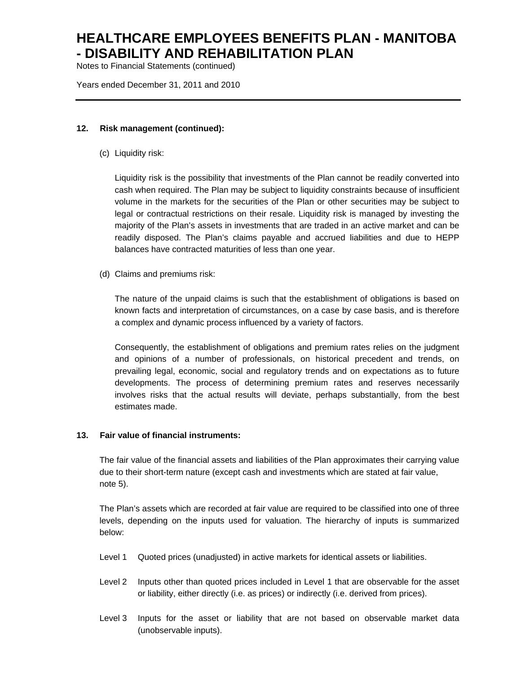Notes to Financial Statements (continued)

Years ended December 31, 2011 and 2010

### **12. Risk management (continued):**

(c) Liquidity risk:

Liquidity risk is the possibility that investments of the Plan cannot be readily converted into cash when required. The Plan may be subject to liquidity constraints because of insufficient volume in the markets for the securities of the Plan or other securities may be subject to legal or contractual restrictions on their resale. Liquidity risk is managed by investing the majority of the Plan's assets in investments that are traded in an active market and can be readily disposed. The Plan's claims payable and accrued liabilities and due to HEPP balances have contracted maturities of less than one year.

(d) Claims and premiums risk:

The nature of the unpaid claims is such that the establishment of obligations is based on known facts and interpretation of circumstances, on a case by case basis, and is therefore a complex and dynamic process influenced by a variety of factors.

Consequently, the establishment of obligations and premium rates relies on the judgment and opinions of a number of professionals, on historical precedent and trends, on prevailing legal, economic, social and regulatory trends and on expectations as to future developments. The process of determining premium rates and reserves necessarily involves risks that the actual results will deviate, perhaps substantially, from the best estimates made.

### **13. Fair value of financial instruments:**

The fair value of the financial assets and liabilities of the Plan approximates their carrying value due to their short-term nature (except cash and investments which are stated at fair value, note 5).

The Plan's assets which are recorded at fair value are required to be classified into one of three levels, depending on the inputs used for valuation. The hierarchy of inputs is summarized below:

- Level 1 Quoted prices (unadjusted) in active markets for identical assets or liabilities.
- Level 2 Inputs other than quoted prices included in Level 1 that are observable for the asset or liability, either directly (i.e. as prices) or indirectly (i.e. derived from prices).
- Level 3 Inputs for the asset or liability that are not based on observable market data (unobservable inputs).